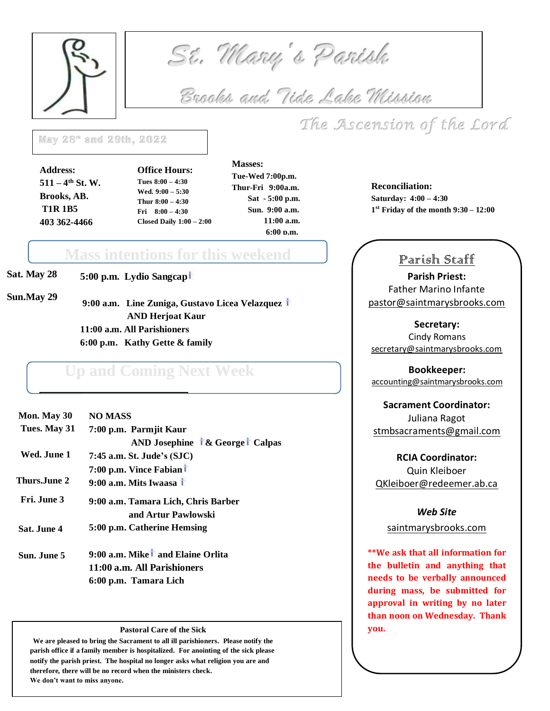

 *St. Mary's Parish* 

 *Brooks and Tide Lake Mission* 

# *The Ascension of the Lord*

 $\frac{1}{2}$ **May 28 th and 29th, 2022**

**Address: 511 – 4 th St. W. Brooks, AB. T1R 1B5 403 362-4466**

**Office Hours: Tues 8:00 – 4:30 Wed. 9:00 – 5:30 Thur 8:00 – 4:30 Fri 8:00 – 4:30 Closed Daily 1:00 – 2:00**

 **Masses: Tue-Wed 7:00p.m. Thur-Fri 9:00a.m. Sat - 5:00 p.m. Sun. 9:00 a.m. 11:00 a.m. 6:00 p.m.**

p.m.op.m.

**Reconciliation: Saturday: 4:00 – 4:30 1 st Friday of the month 9:30 – 12:00**

### Parish Staff

**Parish Priest:** Father Marino Infante [pastor@saintmarysbrooks.com](mailto:pastor@saintmarysbrooks.com)

**Secretary:** Cindy Romans [secretary@saintmarysbrooks.com](mailto:secretary@saintmarysbrooks.com)

**Bookkeeper:** [accounting@saintmarysbrooks.com](mailto:accounting@saintmarysbrooks.com)

**Sacrament Coordinator:** Juliana Ragot [stmbsacraments@gmail.com](mailto:stmbsacraments@gmail.com)

**RCIA Coordinator:** Quin Kleiboer QKleiboer@redeemer.ab.ca

#### *Web Site*

saintmarysbrooks.com

**\*\*We ask that all information for the bulletin and anything that needs to be verbally announced during mass, be submitted for approval in writing by no later than noon on Wednesday. Thank you.** 

**Sat. May 28 5:00 p.m. Lydio Sangcap**

**Sun.May 29**

**9:00 a.m. Line Zuniga, Gustavo Licea Velazquez AND Herjoat Kaur 11:00 a.m. All Parishioners 6:00 p.m. Kathy Gette & family**

**Mass intentions for this weekend** 

# **Up and Coming Next Week**

| Mon. May 30  | <b>NO MASS</b>                                |  |  |
|--------------|-----------------------------------------------|--|--|
| Tues. May 31 | 7:00 p.m. Parmjit Kaur                        |  |  |
|              | <b>AND Josephine 1&amp; Georget Calpas</b>    |  |  |
| Wed. June 1  | 7:45 a.m. St. Jude's (SJC)                    |  |  |
|              | 7:00 p.m. Vince Fabiant                       |  |  |
| Thurs.June 2 | 9:00 a.m. Mits Iwaasa $\dagger$               |  |  |
| Fri. June 3  | 9:00 a.m. Tamara Lich, Chris Barber           |  |  |
|              | and Artur Pawlowski                           |  |  |
| Sat. June 4  | 5:00 p.m. Catherine Hemsing                   |  |  |
| Sun. June 5  | 9:00 a.m. Mike <sup>†</sup> and Elaine Orlita |  |  |
|              | $\mathbf{11.00}$ and $\mathbf{11.1}$          |  |  |

**11:00 a.m. All Parishioners 6:00 p.m. Tamara Lich**

#### **Pastoral Care of the Sick**

 **We are pleased to bring the Sacrament to all ill parishioners. Please notify the parish office if a family member is hospitalized. For anointing of the sick please notify the parish priest. The hospital no longer asks what religion you are and therefore, there will be no record when the ministers check. We don't want to miss anyone.**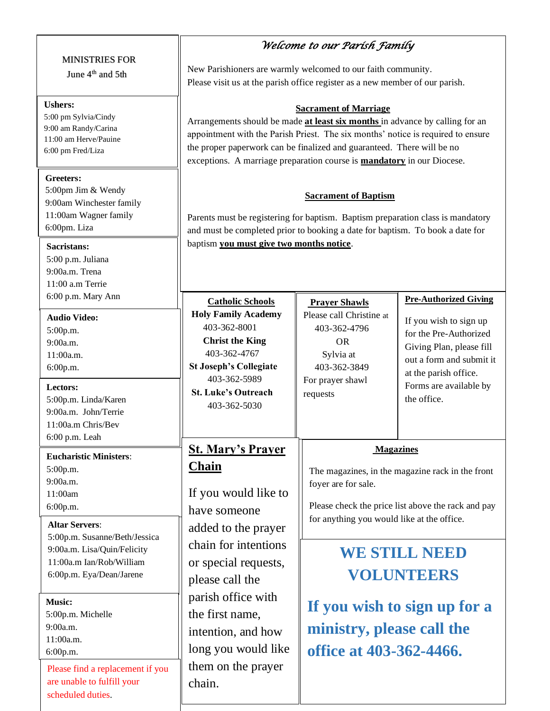#### MINISTRIES FOR

June  $4<sup>th</sup>$  and  $5<sup>th</sup>$ 

#### **Ushers:**

5:00 pm Sylvia/Cindy 9:00 am Randy/Carina 11:00 am Herve/Pauine 6:00 pm Fred/Liza

#### **Greeters:**

5:00pm Jim & Wendy 9:00am Winchester family 11:00am Wagner family 6:00pm. Liza

#### **Sacristans:**

5:00 p.m. Juliana 9:00a.m. Trena 11:00 a.m Terrie 6:00 p.m. Mary Ann

**Audio Video:** 5:00p.m. 9:00a.m. 11:00a.m.

6:00p.m.

#### **Lectors:** 5:00p.m. Linda/Karen 9:00a.m. John/Terrie 11:00a.m Chris/Bev

6:00 p.m. Leah **Eucharistic Minister** 

5:00p.m. 9:00a.m. 11:00am 6:00p.m.

## **Altar Servers**:

5:00p.m. Susanne/Be 9:00a.m. Lisa/Quin/F  $11:00a.m$  Ian/Rob/W 6:00p.m. Eya/Dean/J

#### **Music:**

5:00p.m. Michelle 9:00a.m. 11:00a.m. 6:00p.m.

Please find a replace are unable to fulfill y scheduled duties.

#### *Welcome to our Parish Family*

New Parishioners are warmly welcomed to our faith community. Please visit us at the parish office register as a new member of our parish.

#### **Sacrament of Marriage**

Arrangements should be made **at least six months** in advance by calling for an appointment with the Parish Priest. The six months' notice is required to ensure the proper paperwork can be finalized and guaranteed. There will be no exceptions. A marriage preparation course is **mandatory** in our Diocese.

#### **Sacrament of Baptism**

Parents must be registering for baptism. Baptism preparation class is mandatory and must be completed prior to booking a date for baptism. To book a date for baptism **you must give two months notice**.

| n                                            | <b>Catholic Schools</b><br><b>Holy Family Academy</b><br>403-362-8001<br><b>Christ the King</b><br>403-362-4767<br><b>St Joseph's Collegiate</b><br>403-362-5989<br><b>St. Luke's Outreach</b><br>403-362-5030                                                                         | <b>Prayer Shawls</b><br>Please call Christine at<br>403-362-4796<br><b>OR</b><br>Sylvia at<br>403-362-3849<br>For prayer shawl<br>requests                                                      | <b>Pre-Authorized Giving</b><br>If you wish to sign up<br>for the Pre-Authorized<br>Giving Plan, please fill<br>out a form and submit it<br>at the parish office.<br>Forms are available by<br>the office. |
|----------------------------------------------|----------------------------------------------------------------------------------------------------------------------------------------------------------------------------------------------------------------------------------------------------------------------------------------|-------------------------------------------------------------------------------------------------------------------------------------------------------------------------------------------------|------------------------------------------------------------------------------------------------------------------------------------------------------------------------------------------------------------|
| rs:<br>eth/Jessica                           | <b>St. Mary's Prayer</b><br><b>Chain</b><br>If you would like to<br>have someone<br>added to the prayer<br>chain for intentions<br>or special requests,<br>please call the<br>parish office with<br>the first name,<br>intention, and how<br>long you would like<br>them on the prayer | <b>Magazines</b><br>The magazines, in the magazine rack in the front<br>foyer are for sale.<br>Please check the price list above the rack and pay<br>for anything you would like at the office. |                                                                                                                                                                                                            |
| Felicity<br>'illiam<br>arene<br>ement if you |                                                                                                                                                                                                                                                                                        | <b>WE STILL NEED</b><br><b>VOLUNTEERS</b><br>If you wish to sign up for a<br>ministry, please call the<br>office at 403-362-4466.                                                               |                                                                                                                                                                                                            |
| your                                         | chain.                                                                                                                                                                                                                                                                                 |                                                                                                                                                                                                 |                                                                                                                                                                                                            |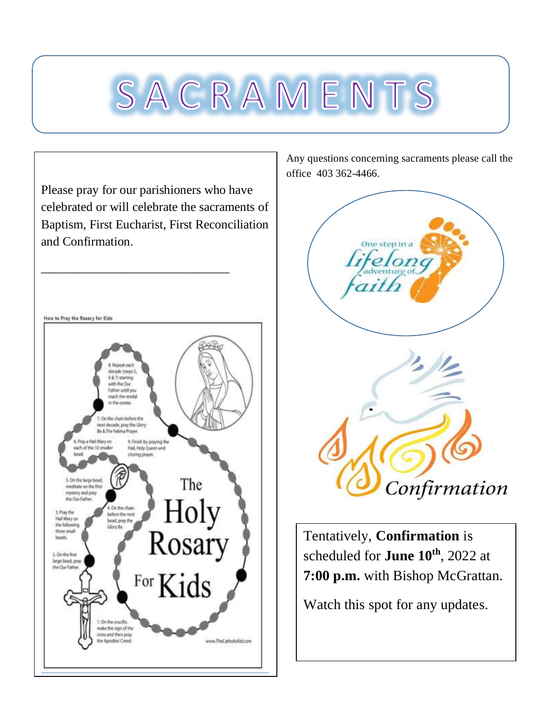# SACRAMENTS

Please pray for our parishioners who have celebrated or will celebrate the sacraments of Baptism, First Eucharist, First Reconciliation and Confirmation. \_\_\_\_\_\_\_\_\_\_\_\_\_\_\_\_\_\_\_\_\_\_\_\_\_\_\_\_\_\_



Any questions concerning sacraments please call the office 403 362-4466.



Tentatively, **Confirmation** is scheduled for **June 10th**, 2022 at **7:00 p.m.** with Bishop McGrattan.

Watch this spot for any updates.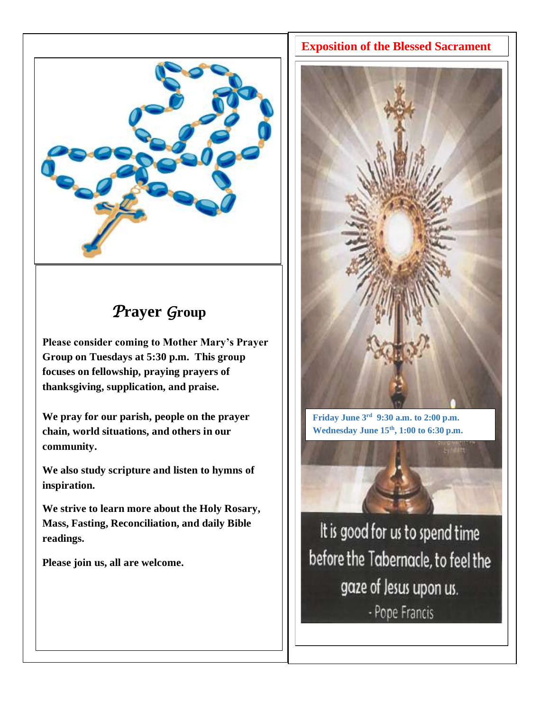

# *P***rayer** *G***roup**

**Please consider coming to Mother Mary's Prayer Group on Tuesdays at 5:30 p.m. This group focuses on fellowship, praying prayers of thanksgiving, supplication, and praise.**

**We pray for our parish, people on the prayer chain, world situations, and others in our community.**

**We also study scripture and listen to hymns of inspiration.**

**We strive to learn more about the Holy Rosary, Mass, Fasting, Reconciliation, and daily Bible readings.**

**Please join us, all are welcome.**



**Friday June 3rd 9:30 a.m. to 2:00 p.m. Wednesday June 15th, 1:00 to 6:30 p.m.**

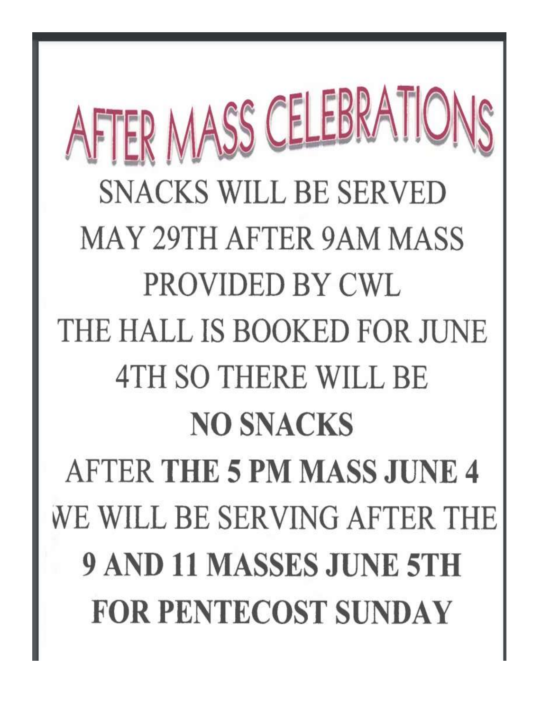AFTER MASS CELEBRATIONS **SNACKS WILL BE SERVED MAY 29TH AFTER 9AM MASS** PROVIDED BY CWL THE HALL IS BOOKED FOR JUNE **4TH SO THERE WILL BE NO SNACKS AFTER THE 5 PM MASS JUNE 4** WE WILL BE SERVING AFTER THE **9 AND 11 MASSES JUNE 5TH FOR PENTECOST SUNDAY**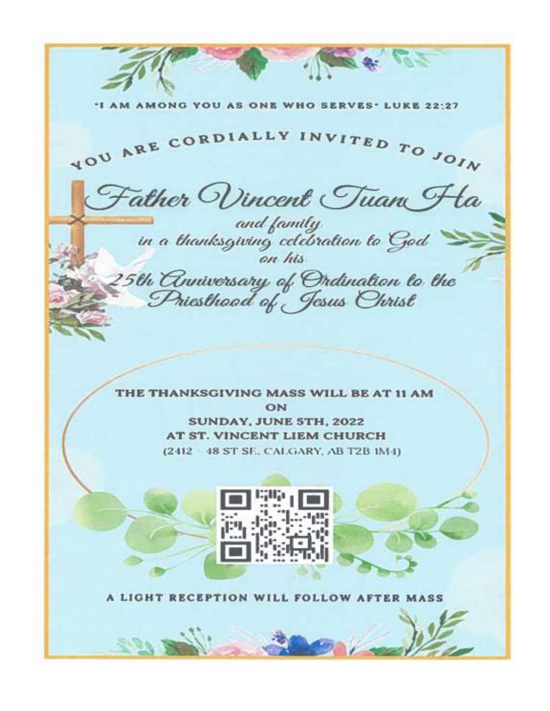YOU AS ONE WHO SERVES. LUKE 22:27 YOU ARE CORDIALLY INVITED TO JOIN Father Wincent Tuan Ha and family<br>in a thanksgiving celebration to God<br>on his 25th Comiversary of Ordination to the<br>Priesthood of Jesus Christ THE THANKSGIVING MASS WILL BE AT 11 AM ON **SUNDAY, JUNE 5TH, 2022** AT ST. VINCENT LIEM CHURCH (2412 - 48 ST SE, CALGARY, AB T2B 1M4) A LIGHT RECEPTION WILL FOLLOW AFTER MASS 2.00 50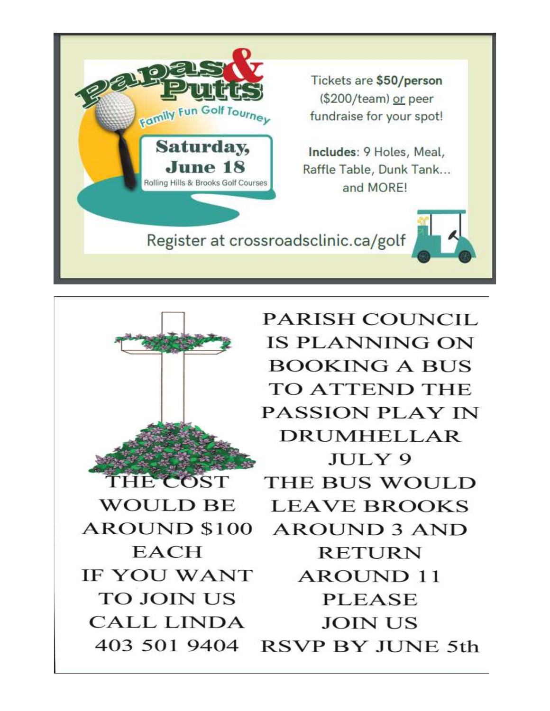



**PARISH COUNCIL IS PLANNING ON BOOKING A BUS TO ATTEND THE PASSION PLAY IN DRUMHELLAR** JULY 9 THE BUS WOULD **LEAVE BROOKS AROUND 3 AND RETURN AROUND 11 PLEASE JOIN US** 403 501 9404 RSVP BY JUNE 5th